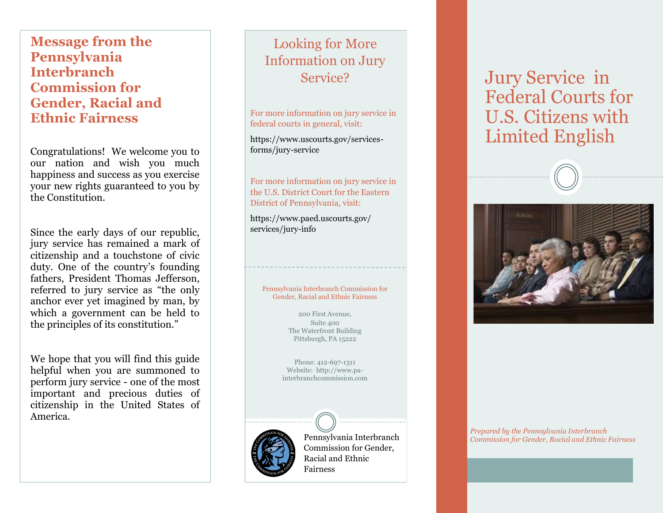### **Message from the Pennsylvania Interbranch Commission for Gender, Racial and Ethnic Fairness**

Congratulations! We welcome you to our nation and wish you much happiness and success as you exercise your new rights guaranteed to you by the Constitution.

Since the early days of our republic, jury service has remained a mark of citizenship and a touchstone of civic duty. One of the country's founding fathers, President Thomas Jefferson, referred to jury service as "the only anchor ever yet imagined by man, by which a government can be held to the principles of its constitution."

We hope that you will find this guide helpful when you are summoned to perform jury service - one of the most important and precious duties of citizenship in the United States of America.

## Looking for More Information on Jury Service?

For more information on jury service in federal courts in general, visit:

https://www.uscourts.gov/servicesforms/jury-service

For more information on jury service in the U.S. District Court for the Eastern District of Pennsylvania, visit:

https://www.paed.uscourts.gov/ services/jury-info

#### Pennsylvania Interbranch Commission for Gender, Racial and Ethnic Fairness

200 First Avenue, Suite 400 The Waterfront Building Pittsburgh, PA 15222

Phone: 412-697-1311 Website: http://www.painterbranchcommission.com



Pennsylvania Interbranch Commission for Gender, Racial and Ethnic Fairness

# Jury Service in Federal Courts for U.S. Citizens with Limited English



*Prepared by the Pennsylvania Interbranch Commission for Gender, Racial and Ethnic Fairness*